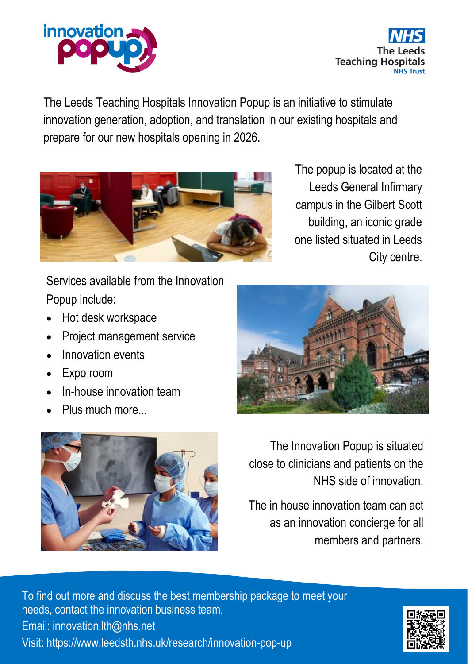



The Leeds Teaching Hospitals Innovation Popup is an initiative to stimulate innovation generation, adoption, and translation in our existing hospitals and prepare for our new hospitals opening in 2026.



The popup is located at the Leeds General Infirmary campus in the Gilbert Scott building, an iconic grade one listed situated in Leeds City centre.

Services available from the Innovation Popup include:

- Hot desk workspace
- Project management service
- Innovation events
- Expo room
- In-house innovation team
- Plus much more...





The Innovation Popup is situated close to clinicians and patients on the NHS side of innovation.

The in house innovation team can act as an innovation concierge for all members and partners.

To find out more and discuss the best membership package to meet your needs, contact the innovation business team. Email: innovation.lth@nhs.net Visit: https://www.leedsth.nhs.uk/research/innovation-pop-up